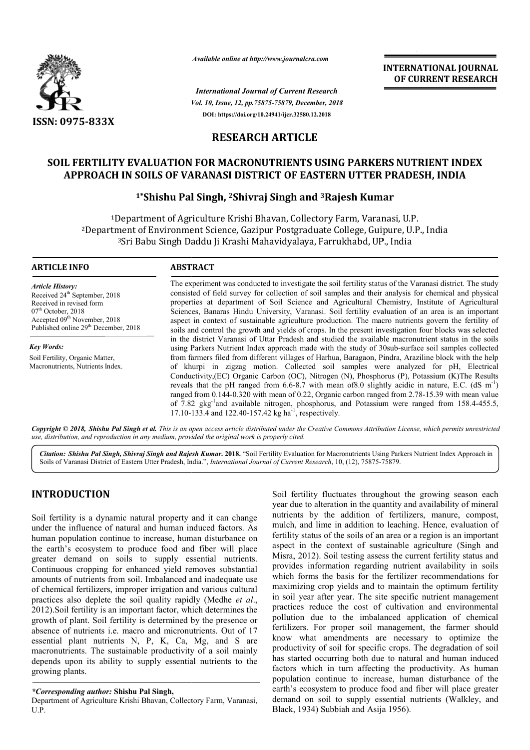

*Available online at http://www.journalcra.com*

*Vol. 10, Issue, 12, pp.75875-75879, December, 2018 International Journal of Current Research* **DOI: https://doi.org/10.24941/ijcr.32580.12.2018**

**INTERNATIONAL JOURNAL OF CURRENT RESEARCH**

# **RESEARCH ARTICLE**

# **SOIL FERTILITY EVALUATION FOR MACRONUTRIENTS USING PARKERS NUTRIENT INDEX**  APPROACH IN SOILS OF VARANASI DISTRICT OF EASTERN UTTER PRADESH, INDIA<br><sup>1\*</sup>Shishu Pal Singh, <sup>2</sup>Shivraj Singh and <sup>3</sup>Rajesh Kumar

# **1\*Shishu Pal Singh, Shishu 2Shivraj Singh and 3Rajesh Kumar**

1Department of Agriculture Krishi Bhavan, Collectory Farm, Varanasi, U.P. 2Department of Environment Science, Gazipur Postgraduate College, Guipure, U.P., India <sup>3</sup>Sri Babu Singh Daddu Ji Krashi Mahavidyalaya, Farrukhabd, UP., India <sup>1</sup>Department of Agriculture Krishi Bhavan, Collectory Farm, Varanasi, U.P.<br>Department of Environment Science, Gazipur Postgraduate College, Guipure, U.P., Indi<br><sup>3</sup>Sri Babu Singh Daddu Ji Krashi Mahavidyalaya, Farrukhabd,

#### **ARTICLE INFO ABSTRACT**

*Article History:* Received 24<sup>th</sup> September, 2018 Received in revised form  $07<sup>th</sup>$  October, 2018 Accepted 09<sup>th</sup> November, 2018 Published online 29<sup>th</sup> December, 2018

*Key Words:* Soil Fertility, Organic Matter, Macronutrients, Nutrients Index.

The experiment was conducted to investigate the soil fertility status of the Varanasi district. The study consisted of field survey for collection of soil samples and their analysis for chemical and physical The experiment was conducted to investigate the soil fertility status of the Varanasi district. The study consisted of field survey for collection of soil samples and their analysis for chemical and physical properties at Sciences, Banaras Hindu University, Varanasi. Soil fertility evaluation of an area is an important aspect in context of sustainable agriculture production. The macro nutrients govern the fertility of soils and control the growth and yields of crops. In the present investigation four blocks was selected in the district Varanasi of Uttar Pradesh and studied the available macronutrient status using Parkers Nutrient Index approach made with the study of 30sub-surface soil samples collected from farmers filed from different villages of Harhua, Baragaon, Pindra, Araziline block with the help of khurpi in zigzag motion. Collected soil samples were analyzed for pH, Electrical Conductivity,(EC) Organic Carbon (OC), Nitrogen (N), Phosphorus (P), Potassium (K)The Results from farmers filed from different villages of Harhua, Baragaon, Pindra, Araziline block with the help of khurpi in zigzag motion. Collected soil samples were analyzed for pH, Electrical Conductivity, (EC) Organic Carbon (O ranged from 0.144-0.320 with mean of 0.22, Organic carbon ranged from 2.78-15.39 with mean value of 7.82 gkg<sup>-1</sup>and available nitrogen, phosphorus, and Potassium were ranged from 158.4-455.5, 17.10-133.4 and 122.40-157.42 kg ha<sup>-1</sup>, respectively. Sciences, Banaras Hindu University, Varanasi. Soil fertility evaluation of an area is an important aspect in context of sustainable agriculture production. The macro nutrients govern the fertility of soils and control the

Copyright © 2018, Shishu Pal Singh et al. This is an open access article distributed under the Creative Commons Attribution License, which permits unrestricted *use, distribution, and reproduction in any medium, provided the original work is properly cited.*

Citation: Shishu Pal Singh, Shivraj Singh and Rajesh Kumar. 2018. "Soil Fertility Evaluation for Macronutrients Using Parkers Nutrient Index Approach in Soils of Varanasi District of Eastern Utter Pradesh, India.", *International Journal of Current Research*, 10, (12), 75875-75879.

### **INTRODUCTION**

Soil fertility is a dynamic natural property and it can change under the influence of natural and human induced factors. As human population continue to increase, human disturbance on the earth's ecosystem to produce food and fiber will place greater demand on soils to supply essential nutrients. Continuous cropping for enhanced yield removes substantial amounts of nutrients from soil. Imbalanced and inadequate use of chemical fertilizers, improper irrigation and various cultural practices also deplete the soil quality rapidly (Medhe *et al*., 2012).Soil fertility is an important factor, which determines the growth of plant. Soil fertility is determined by the presence or absence of nutrients i.e. macro and micronutrients. Out of 17 essential plant nutrients N, P, K, Ca, Mg, and S are macronutrients. The sustainable productivity of a soil mainly depends upon its ability to supply essential nutrients to the growing plants.

**Solut CTION**<br>
Soil fertility is a dynamic natural property and it can change<br>
year due to alteration in the quantity and availability of mineral<br>
the influence of natural and human induced factors. As much, and line in a year due to alteration in the quantity and availability of mineral nutrients by the addition of fertilizers, manure, compost, Soil fertility fluctuates throughout the growing season each year due to alteration in the quantity and availability of mineral nutrients by the addition of fertilizers, manure, compost, mulch, and lime in addition to leac fertility status of the soils of an area or a region is an important aspect in the context of sustainable agriculture (Singh and Misra, 2012). Soil testing assess the current fertility status and fertility status of the soils of an area or a region is an important aspect in the context of sustainable agriculture (Singh and Misra, 2012). Soil testing assess the current fertility status and provides information regar which forms the basis for the fertilizer recommendations for maximizing crop yields and to maintain the optimum fertility in soil year after year. The site specific nutrient management practices reduce the cost of cultivation and environmental pollution due to the imbalanced application of chemical fertilizers. For proper soil management, the farmer should know what amendments are necessary to optimize the productivity of soil for specific crops. The degradation of soil has started occurring both due to natural and human induced factors which in turn affecting the productivity. As human population continue to increase, human disturbance of the earth's ecosystem to produce food and fiber will place greater has started occurring both due to natural and human induced factors which in turn affecting the productivity. As human population continue to increase, human disturbance of the earth's ecosystem to produce food and fiber w Black, 1934) Subbiah and Asija 1956) Subbiah and Asija 1956). ich forms the basis for the fertilizer recommendations for ximizing crop yields and to maintain the optimum fertility soil year after year. The site specific nutrient management actices reduce the cost of cultivation and e

*<sup>\*</sup>Corresponding author:* **Shishu Pal Singh,**

Department of Agriculture Krishi Bhavan, Collectory Farm, Varanasi, U.P.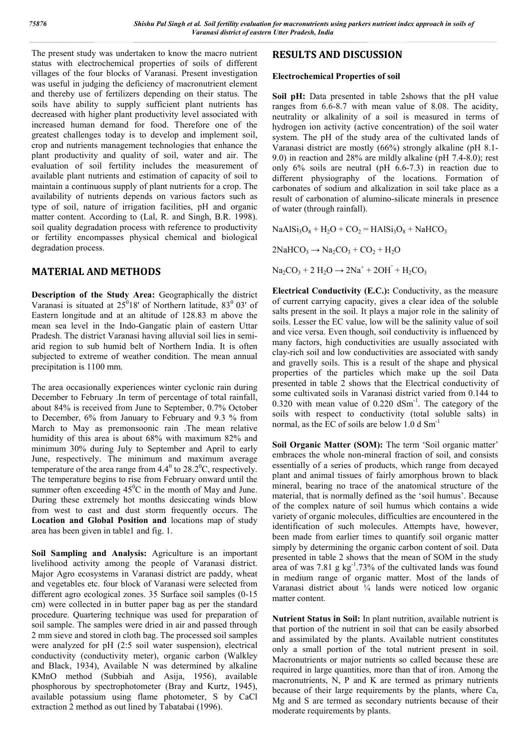The present study was undertaken to know the macro nutrient status with electrochemical properties of soils of different villages of the four blocks of Varanasi. Present investigation was useful in judging the deficiency of macronutrient element and thereby use of fertilizers depending on their status. The soils have ability to supply sufficient plant nutrients has decreased with higher plant productivity level associated with increased human demand for food. Therefore one of the greatest challenges today is to develop and implement soil, crop and nutrients management technologies that enhance the plant productivity and quality of soil, water and air. The evaluation of soil fertility includes the measurement of available plant nutrients and estimation of capacity of soil to maintain a continuous supply of plant nutrients for a crop. The availability of nutrients depends on various factors such as type of soil, nature of irrigation facilities, pH and organic matter content. According to (Lal, R. and Singh, B.R. 1998). soil quality degradation process with reference to productivity or fertility encompasses physical chemical and biological degradation process.

# **MATERIAL AND METHODS**

**Description of the Study Area:** Geographically the district Varanasi is situated at  $25^018'$  of Northern latitude,  $83^0$  03' of Eastern longitude and at an altitude of 128.83 m above the mean sea level in the Indo-Gangatic plain of eastern Uttar Pradesh. The district Varanasi having alluvial soil lies in semiarid region to sub humid belt of Northern India. It is often subjected to extreme of weather condition. The mean annual precipitation is 1100 mm.

The area occasionally experiences winter cyclonic rain during December to February .In term of percentage of total rainfall, about 84% is received from June to September, 0.7% October to December, 6% from January to February and 9.3 % from March to May as premonsoonic rain .The mean relative humidity of this area is about 68% with maximum 82% and minimum 30% during July to September and April to early June, respectively. The minimum and maximum average temperature of the area range from  $4.4^{\circ}$  to  $28.2^{\circ}$ C, respectively. The temperature begins to rise from February onward until the summer often exceeding  $45^{\circ}$ C in the month of May and June. During these extremely hot months desiccating winds blow from west to east and dust storm frequently occurs. The **Location and Global Position and** locations map of study area has been given in table1 and fig. 1.

**Soil Sampling and Analysis:** Agriculture is an important livelihood activity among the people of Varanasi district. Major Agro ecosystems in Varanasi district are paddy, wheat and vegetables etc. four block of Varanasi were selected from different agro ecological zones. 35 Surface soil samples (0-15 cm) were collected in in butter paper bag as per the standard procedure. Quartering technique was used for preparation of soil sample. The samples were dried in air and passed through 2 mm sieve and stored in cloth bag. The processed soil samples were analyzed for pH (2:5 soil water suspension), electrical conductivity (conductivity meter), organic carbon (Walkley and Black, 1934), Available N was determined by alkaline KMnO method (Subbiah and Asija, 1956), available phosphorous by spectrophotometer (Bray and Kurtz, 1945), available potassium using flame photometer, S by CaCl extraction 2 method as out lined by Tabatabai (1996).

# **RESULTS AND DISCUSSION**

### **Electrochemical Properties of soil**

**Soil pH:** Data presented in table 2shows that the pH value ranges from 6.6-8.7 with mean value of 8.08. The acidity, neutrality or alkalinity of a soil is measured in terms of hydrogen ion activity (active concentration) of the soil water system. The pH of the study area of the cultivated lands of Varanasi district are mostly (66%) strongly alkaline (pH 8.1- 9.0) in reaction and 28% are mildly alkaline (pH 7.4-8.0); rest only 6% soils are neutral (pH 6.6-7.3) in reaction due to different physiography of the locations. Formation of carbonates of sodium and alkalization in soil take place as a result of carbonation of alumino-silicate minerals in presence of water (through rainfall).

 $NaAlSi<sub>3</sub>O<sub>8</sub> + H<sub>2</sub>O + CO<sub>2</sub> = HAlSi<sub>3</sub>O<sub>8</sub> + NaHCO<sub>3</sub>$ 

 $2NAHCO<sub>3</sub> \rightarrow Na<sub>2</sub>CO<sub>3</sub> + CO<sub>2</sub> + H<sub>2</sub>O$ 

 $Na_2CO_3 + 2 H_2O \rightarrow 2Na^+ + 2OH^- + H_2CO_3$ 

**Electrical Conductivity (E.C.):** Conductivity, as the measure of current carrying capacity, gives a clear idea of the soluble salts present in the soil. It plays a major role in the salinity of soils. Lesser the EC value, low will be the salinity value of soil and vice versa. Even though, soil conductivity is influenced by many factors, high conductivities are usually associated with clay-rich soil and low conductivities are associated with sandy and gravelly soils. This is a result of the shape and physical properties of the particles which make up the soil Data presented in table 2 shows that the Electrical conductivity of some cultivated soils in Varanasi district varied from 0.144 to  $0.320$  with mean value of  $0.220$  dSm<sup>-1</sup>. The category of the soils with respect to conductivity (total soluble salts) in normal, as the EC of soils are below 1.0 d Sm-1

**Soil Organic Matter (SOM):** The term 'Soil organic matter' embraces the whole non-mineral fraction of soil, and consists essentially of a series of products, which range from decayed plant and animal tissues of fairly amorphous brown to black mineral, bearing no trace of the anatomical structure of the material, that is normally defined as the 'soil humus'. Because of the complex nature of soil humus which contains a wide variety of organic molecules, difficulties are encountered in the identification of such molecules. Attempts have, however, been made from earlier times to quantify soil organic matter simply by determining the organic carbon content of soil. Data presented in table 2 shows that the mean of SOM in the study area of was  $7.81 \text{ g kg}^{-1}$ .73% of the cultivated lands was found in medium range of organic matter. Most of the lands of Varanasi district about ¼ lands were noticed low organic matter content.

**Nutrient Status in Soil:** In plant nutrition, available nutrient is that portion of the nutrient in soil that can be easily absorbed and assimilated by the plants. Available nutrient constitutes only a small portion of the total nutrient present in soil. Macronutrients or major nutrients so called because these are required in large quantities, more than that of iron. Among the macronutrients, N, P and K are termed as primary nutrients because of their large requirements by the plants, where Ca, Mg and S are termed as secondary nutrients because of their moderate requirements by plants.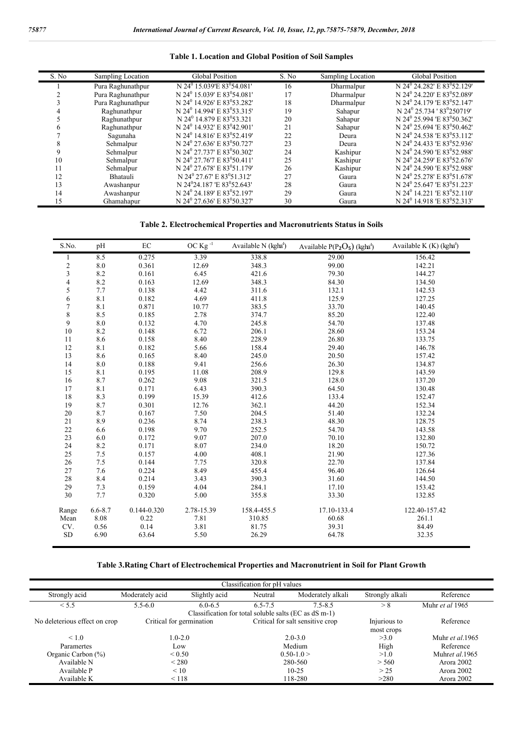#### **Table 1. Location and Global Position of Soil Samples**

| S. No | Sampling Location | <b>Global Position</b>                              | S. No | Sampling Location | <b>Global Position</b>                              |
|-------|-------------------|-----------------------------------------------------|-------|-------------------|-----------------------------------------------------|
|       | Pura Raghunathpur | N 24 <sup>0</sup> 15.039'E 83 <sup>0</sup> 54.081'  | 16    | Dharmalpur        | N 24 <sup>0</sup> 24.282' E 83 <sup>0</sup> 52.129' |
|       | Pura Raghunathpur | N 24 <sup>0</sup> 15.039' E 83 <sup>0</sup> 54.081' | 17    | Dharmalpur        | N 24 <sup>0</sup> 24.220' E 83 <sup>0</sup> 52.089' |
|       | Pura Raghunathpur | N 24 <sup>0</sup> 14.926' E 83 <sup>0</sup> 53.282' | 18    | Dharmalpur        | N 24 <sup>0</sup> 24.179 E 83 <sup>0</sup> 52.147   |
|       | Raghunathpur      | N 24 <sup>0</sup> 14.994' E 83 <sup>0</sup> 53.315' | 19    | Sahapur           | N 24 <sup>0</sup> 25.734 '83 <sup>0</sup> 250719'   |
|       | Raghunathpur      | N 24 <sup>0</sup> 14.879 E 83 <sup>0</sup> 53.321   | 20    | Sahapur           | N 24 <sup>0</sup> 25.994 'E 83 <sup>0</sup> 50.362' |
|       | Raghunathpur      | N 24 <sup>0</sup> 14.932' E 83 <sup>0</sup> 42.901' | 21    | Sahapur           | N 24 <sup>0</sup> 25.694 'E 83 <sup>0</sup> 50.462' |
|       | Sagunaha          | N 24 <sup>0</sup> 14.816' E 83 <sup>0</sup> 52.419' | 22    | Deura             | N 24 <sup>0</sup> 24.538 'E 83 <sup>0</sup> 53.112' |
|       | Sehmalpur         | N 24 <sup>0</sup> 27.636' E 83 <sup>0</sup> 50.727' | 23    | Deura             | N 24 <sup>0</sup> 24.433 'E 83 <sup>0</sup> 52.936' |
|       | Sehmalpur         | N 24 <sup>0</sup> 27.737' E 83 <sup>0</sup> 50.302' | 24    | Kashipur          | N 24 <sup>0</sup> 24.590 'E 83 <sup>0</sup> 52.988' |
| 10    | Sehmalpur         | N 24 <sup>0</sup> 27.76'7 E 83 <sup>0</sup> 50.411' | 25    | Kashipur          | N 24 <sup>0</sup> 24.259' E 83 <sup>0</sup> 52.676' |
| 11    | Sehmalpur         | N 24 <sup>0</sup> 27.678' E 83 <sup>0</sup> 51.179' | 26    | Kashipur          | N 24 <sup>0</sup> 24.590 'E 83 <sup>0</sup> 52.988' |
| 12    | Bhatauli          | N 24 <sup>0</sup> 27.67' E 83 <sup>0</sup> 51.312'  | 27    | Gaura             | N 24 <sup>0</sup> 25.278' E 83 <sup>0</sup> 51.678' |
| 13    | Awashanpur        | N 24 <sup>0</sup> 24.187 'E 83 <sup>0</sup> 52.643' | 28    | Gaura             | N 24 <sup>0</sup> 25.647 'E 83 <sup>0</sup> 51.223' |
| 14    | Awashanpur        | N 24 <sup>0</sup> 24.189' E 83 <sup>0</sup> 52.197' | 29    | Gaura             | N 24 <sup>0</sup> 14.221 'E $83^{0}$ 52.110'        |
| 15    | Ghamahapur        | N 24 <sup>0</sup> 27.636' E 83 <sup>0</sup> 50.327' | 30    | Gaura             | N 24 <sup>0</sup> 14.918 'E 83 <sup>0</sup> 52.313' |

#### **Table 2. Electrochemical Properties and Macronutrients Status in Soils**

| S.No.                    | pH          | $\rm EC$        | OC Kg $^{\hbox{-}1}$ | Available N (kgha <sup>1</sup> ) | Available $P(P_2O_5)$ (kgha <sup>1</sup> ) | Available K (K) (kgha <sup>1</sup> ) |
|--------------------------|-------------|-----------------|----------------------|----------------------------------|--------------------------------------------|--------------------------------------|
| 1                        | 8.5         | 0.275           | 3.39                 | 338.8                            | 29.00                                      | 156.42                               |
| $\boldsymbol{2}$         | 8.0         | 0.361           | 12.69                | 348.3                            | 99.00                                      | 142.21                               |
| $\mathfrak{Z}$           | 8.2         | 0.161           | 6.45                 | 421.6                            | 79.30                                      | 144.27                               |
| $\overline{\mathcal{A}}$ | 8.2         | 0.163           | 12.69                | 348.3                            | 84.30                                      | 134.50                               |
| 5                        | 7.7         | 0.138           | 4.42                 | 311.6                            | 132.1                                      | 142.53                               |
| 6                        | 8.1         | 0.182           | 4.69                 | 411.8                            | 125.9                                      | 127.25                               |
| $\boldsymbol{7}$         | 8.1         | 0.871           | 10.77                | 383.5                            | 33.70                                      | 140.45                               |
| $\,$ $\,$                | 8.5         | 0.185           | 2.78                 | 374.7                            | 85.20                                      | 122.40                               |
| 9                        | 8.0         | 0.132           | 4.70                 | 245.8                            | 54.70                                      | 137.48                               |
| 10                       | 8.2         | 0.148           | 6.72                 | 206.1                            | 28.60                                      | 153.24                               |
| 11                       | 8.6         | 0.158           | 8.40                 | 228.9                            | 26.80                                      | 133.75                               |
| 12                       | 8.1         | 0.182           | 5.66                 | 158.4                            | 29.40                                      | 146.78                               |
| 13                       | 8.6         | 0.165           | 8.40                 | 245.0                            | 20.50                                      | 157.42                               |
| 14                       | 8.0         | 0.188           | 9.41                 | 256.6                            | 26.30                                      | 134.87                               |
| 15                       | 8.1         | 0.195           | 11.08                | 208.9                            | 129.8                                      | 143.59                               |
| 16                       | 8.7         | 0.262           | 9.08                 | 321.5                            | 128.0                                      | 137.20                               |
| 17                       | 8.1         | 0.171           | 6.43                 | 390.3                            | 64.50                                      | 130.48                               |
| 18                       | 8.3         | 0.199           | 15.39                | 412.6                            | 133.4                                      | 152.47                               |
| 19                       | 8.7         | 0.301           | 12.76                | 362.1                            | 44.20                                      | 152.34                               |
| 20                       | 8.7         | 0.167           | 7.50                 | 204.5                            | 51.40                                      | 132.24                               |
| 21                       | 8.9         | 0.236           | 8.74                 | 238.3                            | 48.30                                      | 128.75                               |
| 22                       | 6.6         | 0.198           | 9.70                 | 252.5                            | 54.70                                      | 143.58                               |
| 23                       | 6.0         | 0.172           | 9.07                 | 207.0                            | 70.10                                      | 132.80                               |
| 24                       | 8.2         | 0.171           | 8.07                 | 234.0                            | 18.20                                      | 150.72                               |
| 25                       | 7.5         | 0.157           | 4.00                 | 408.1                            | 21.90                                      | 127.36                               |
| 26                       | 7.5         | 0.144           | 7.75                 | 320.8                            | 22.70                                      | 137.84                               |
| 27                       | 7.6         | 0.224           | 8.49                 | 455.4                            | 96.40                                      | 126.64                               |
| 28                       | 8.4         | 0.214           | 3.43                 | 390.3                            | 31.60                                      | 144.50                               |
| 29                       | 7.3         | 0.159           | 4.04                 | 284.1                            | 17.10                                      | 153.42                               |
| 30                       | 7.7         | 0.320           | 5.00                 | 355.8                            | 33.30                                      | 132.85                               |
| Range                    | $6.6 - 8.7$ | $0.144 - 0.320$ | 2.78-15.39           | 158.4-455.5                      | 17.10-133.4                                | 122.40-157.42                        |
| Mean                     | 8.08        | 0.22            | 7.81                 | 310.85                           | 60.68                                      | 261.1                                |
| CV.                      | 0.56        | 0.14            | 3.81                 | 81.75                            | 39.31                                      | 84.49                                |
| <b>SD</b>                | 6.90        | 63.64           | 5.50                 | 26.29                            | 64.78                                      | 32.35                                |

#### **Table 3.Rating Chart of Electrochemical Properties and Macronutrient in Soil for Plant Growth**

| Classification for pH values                          |                          |               |             |                                  |                 |                 |  |  |
|-------------------------------------------------------|--------------------------|---------------|-------------|----------------------------------|-----------------|-----------------|--|--|
| Strongly acid                                         | Moderately acid          | Slightly acid | Neutral     | Moderately alkali                | Strongly alkali | Reference       |  |  |
| < 5.5                                                 | $5.5 - 6.0$              | $6.0 - 6.5$   | $6.5 - 7.5$ | $7.5 - 8.5$                      | > 8             | Muhr et al 1965 |  |  |
| Classification for total soluble salts (EC as dS m-1) |                          |               |             |                                  |                 |                 |  |  |
| No deleterious effect on crop                         | Critical for germination |               |             | Critical for salt sensitive crop |                 | Reference       |  |  |
|                                                       |                          |               |             |                                  | most crops      |                 |  |  |
| < 1.0                                                 | $1.0 - 2.0$              |               |             | $2.0 - 3.0$                      |                 | Muhr et al.1965 |  |  |
| Paramertes                                            | Low                      |               |             | Medium                           |                 | Reference       |  |  |
| Organic Carbon (%)                                    | ${}_{0.50}$              |               |             | $0.50 - 1.0$                     |                 | Muhret al.1965  |  |  |
| Available N                                           | $<$ 280                  |               |             | 280-560                          |                 | Arora 2002      |  |  |
| Available P                                           | $\leq 10$                |               |             | $10-25$                          |                 | Arora 2002      |  |  |
| Available K                                           | < 118                    |               | 118-280     |                                  | >280            | Arora 2002      |  |  |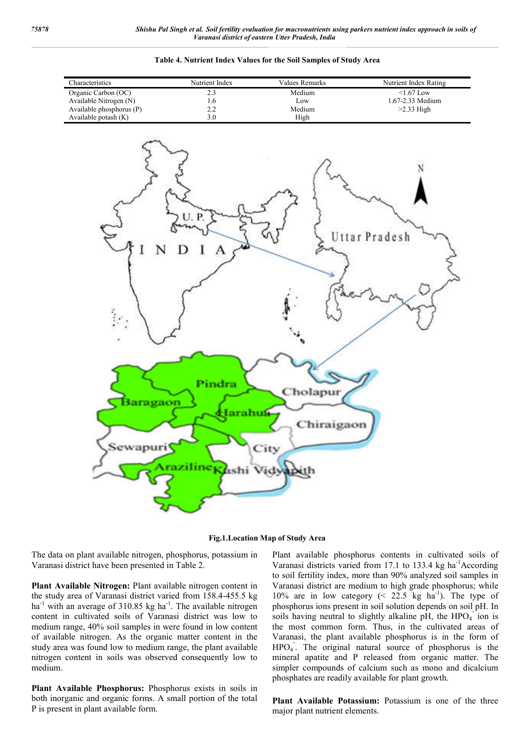

#### **Table 4. Nutrient Index Values for the Soil Samples of Study Area**



The data on plant available nitrogen, phosphorus, potassium in Varanasi district have been presented in Table 2.

**Plant Available Nitrogen:** Plant available nitrogen content in the study area of Varanasi district varied from 158.4-455.5 kg ha<sup>-1</sup> with an average of 310.85 kg ha<sup>-1</sup>. The available nitrogen content in cultivated soils of Varanasi district was low to medium range, 40% soil samples in were found in low content of available nitrogen. As the organic matter content in the study area was found low to medium range, the plant available nitrogen content in soils was observed consequently low to medium.

**Plant Available Phosphorus:** Phosphorus exists in soils in both inorganic and organic forms. A small portion of the total P is present in plant available form.

Plant available phosphorus contents in cultivated soils of Varanasi districts varied from 17.1 to 133.4 kg ha<sup>-1</sup>According to soil fertility index, more than 90% analyzed soil samples in Varanasi district are medium to high grade phosphorus; while 10% are in low category  $($   $22.5$  kg ha<sup>-1</sup> $)$ . The type of phosphorus ions present in soil solution depends on soil pH. In soils having neutral to slightly alkaline pH, the  $HPO<sub>4</sub><sup>-</sup>$  ion is the most common form. Thus, in the cultivated areas of Varanasi, the plant available phosphorus is in the form of HPO<sub>4</sub>. The original natural source of phosphorus is the mineral apatite and P released from organic matter. The simpler compounds of calcium such as mono and dicalcium phosphates are readily available for plant growth.

**Plant Available Potassium:** Potassium is one of the three major plant nutrient elements.